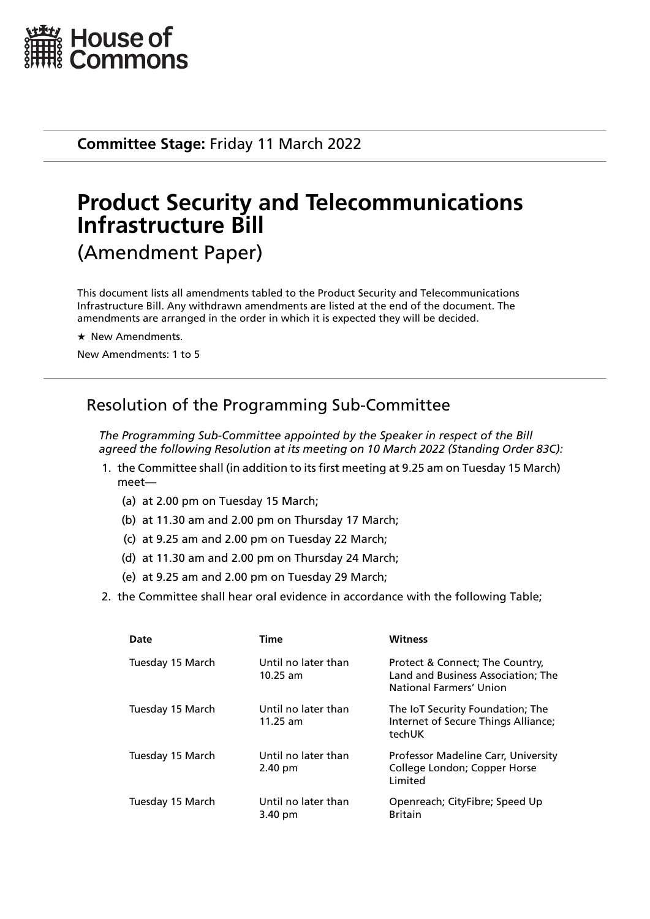

**Committee Stage:** Friday 11 March 2022

# **Product Security and Telecommunications Infrastructure Bill** (Amendment Paper)

This document lists all amendments tabled to the Product Security and Telecommunications Infrastructure Bill. Any withdrawn amendments are listed at the end of the document. The amendments are arranged in the order in which it is expected they will be decided.

 $\star$  New Amendments.

New Amendments: 1 to 5

# Resolution of the Programming Sub-Committee

*The Programming Sub-Committee appointed by the Speaker in respect of the Bill agreed the following Resolution at its meeting on 10 March 2022 (Standing Order 83C):*

- 1. the Committee shall (in addition to its first meeting at 9.25 am on Tuesday 15 March) meet—
	- (a) at 2.00 pm on Tuesday 15 March;
	- (b) at 11.30 am and 2.00 pm on Thursday 17 March;
	- (c) at 9.25 am and 2.00 pm on Tuesday 22 March;
	- (d) at 11.30 am and 2.00 pm on Thursday 24 March;
	- (e) at 9.25 am and 2.00 pm on Tuesday 29 March;
- 2. the Committee shall hear oral evidence in accordance with the following Table;

| Date             | Time                              | <b>Witness</b>                                                                                   |
|------------------|-----------------------------------|--------------------------------------------------------------------------------------------------|
| Tuesday 15 March | Until no later than<br>$10.25$ am | Protect & Connect; The Country,<br>Land and Business Association; The<br>National Farmers' Union |
| Tuesday 15 March | Until no later than<br>$11.25$ am | The IoT Security Foundation; The<br>Internet of Secure Things Alliance;<br>techUK                |
| Tuesday 15 March | Until no later than<br>2.40 pm    | Professor Madeline Carr, University<br>College London; Copper Horse<br>Limited                   |
| Tuesday 15 March | Until no later than<br>3.40 pm    | Openreach; CityFibre; Speed Up<br><b>Britain</b>                                                 |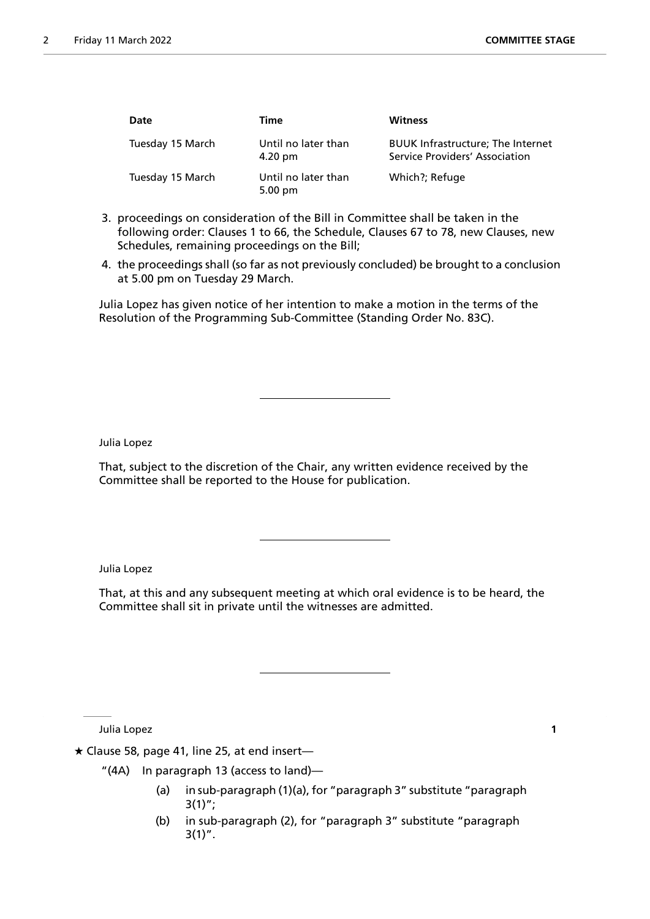| Date             | Time                                     | <b>Witness</b>                                                             |
|------------------|------------------------------------------|----------------------------------------------------------------------------|
| Tuesday 15 March | Until no later than<br>$4.20 \text{ pm}$ | <b>BUUK Infrastructure; The Internet</b><br>Service Providers' Association |
| Tuesday 15 March | Until no later than<br>$5.00 \text{ pm}$ | Which?; Refuge                                                             |

- 3. proceedings on consideration of the Bill in Committee shall be taken in the following order: Clauses 1 to 66, the Schedule, Clauses 67 to 78, new Clauses, new Schedules, remaining proceedings on the Bill;
- 4. the proceedings shall (so far as not previously concluded) be brought to a conclusion at 5.00 pm on Tuesday 29 March.

Julia Lopez has given notice of her intention to make a motion in the terms of the Resolution of the Programming Sub-Committee (Standing Order No. 83C).

Julia Lopez

That, subject to the discretion of the Chair, any written evidence received by the Committee shall be reported to the House for publication.

Julia Lopez

That, at this and any subsequent meeting at which oral evidence is to be heard, the Committee shall sit in private until the witnesses are admitted.

Julia Lopez **1**

 $\star$  Clause 58, page 41, line 25, at end insert-

- "(4A) In paragraph 13 (access to land)—
	- (a) in sub-paragraph (1)(a), for "paragraph 3" substitute "paragraph  $3(1)$ ";
	- (b) in sub-paragraph (2), for "paragraph 3" substitute "paragraph  $3(1)''$ .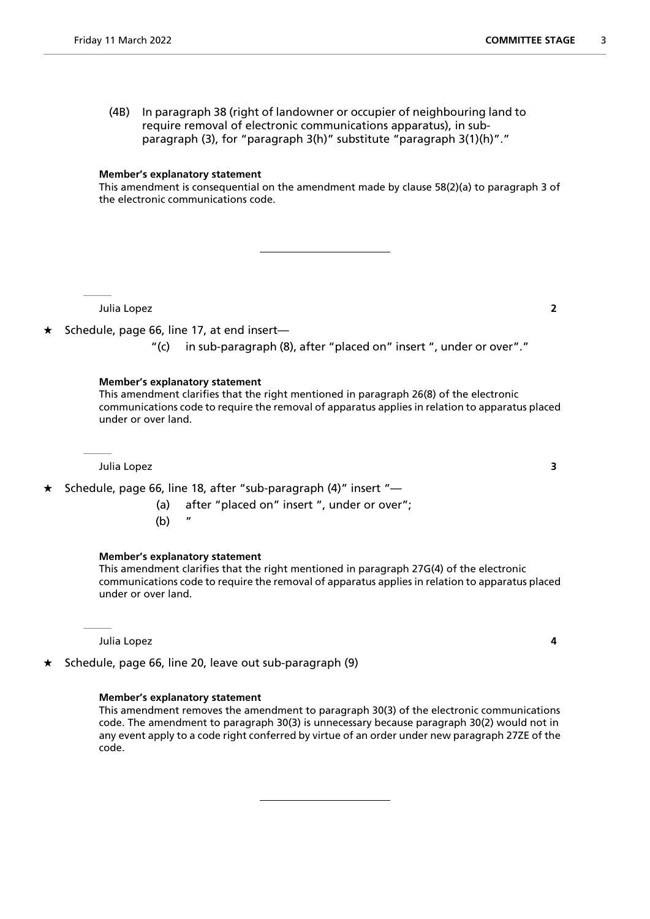(4B) In paragraph 38 (right of landowner or occupier of neighbouring land to require removal of electronic communications apparatus), in subparagraph (3), for "paragraph 3(h)" substitute "paragraph 3(1)(h)"."

#### **Member's explanatory statement**

This amendment is consequential on the amendment made by clause 58(2)(a) to paragraph 3 of the electronic communications code.

Julia Lopez **2**

- $\star$  Schedule, page 66, line 17, at end insert—
	- "(c) in sub-paragraph (8), after "placed on" insert ", under or over"."

#### **Member's explanatory statement**

This amendment clarifies that the right mentioned in paragraph 26(8) of the electronic communications code to require the removal of apparatus applies in relation to apparatus placed under or over land.

Julia Lopez **3**

 $\star$  Schedule, page 66, line 18, after "sub-paragraph (4)" insert "-

- (a) after "placed on" insert ", under or over";
- $(b)$

### **Member's explanatory statement**

This amendment clarifies that the right mentioned in paragraph 27G(4) of the electronic communications code to require the removal of apparatus applies in relation to apparatus placed under or over land.

Julia Lopez **4**

 $\star$  Schedule, page 66, line 20, leave out sub-paragraph (9)

### **Member's explanatory statement**

This amendment removes the amendment to paragraph 30(3) of the electronic communications code. The amendment to paragraph 30(3) is unnecessary because paragraph 30(2) would not in any event apply to a code right conferred by virtue of an order under new paragraph 27ZE of the code.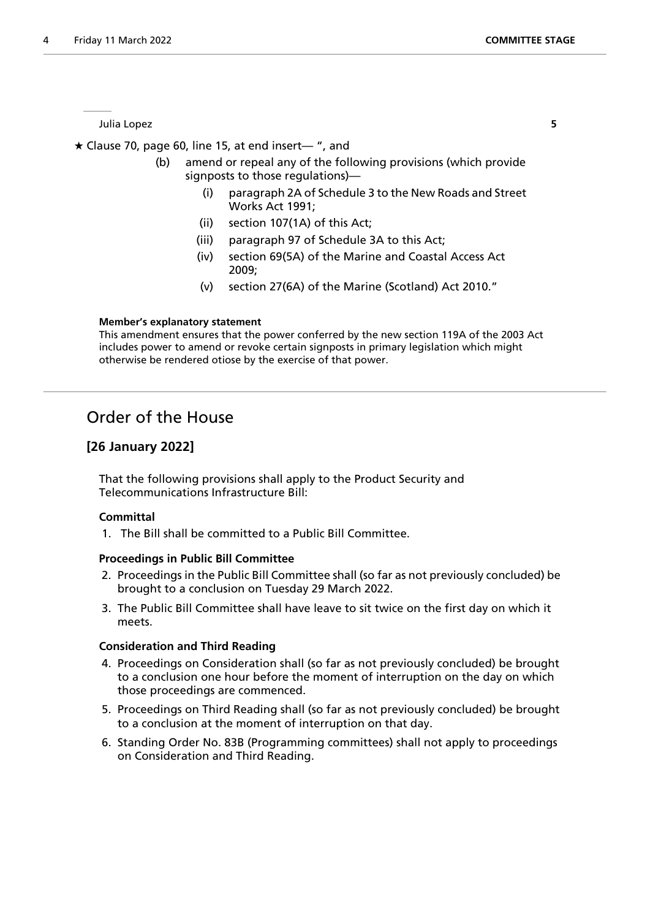Julia Lopez **5**

 $\star$  Clause 70, page 60, line 15, at end insert— ", and

- (b) amend or repeal any of the following provisions (which provide signposts to those regulations)—
	- (i) paragraph 2A of Schedule 3 to the New Roads and Street Works Act 1991;
	- (ii) section 107(1A) of this Act;
	- (iii) paragraph 97 of Schedule 3A to this Act;
	- (iv) section 69(5A) of the Marine and Coastal Access Act 2009;
	- (v) section 27(6A) of the Marine (Scotland) Act 2010."

### **Member's explanatory statement**

This amendment ensures that the power conferred by the new section 119A of the 2003 Act includes power to amend or revoke certain signposts in primary legislation which might otherwise be rendered otiose by the exercise of that power.

# Order of the House

# **[26 January 2022]**

That the following provisions shall apply to the Product Security and Telecommunications Infrastructure Bill:

## **Committal**

1. The Bill shall be committed to a Public Bill Committee.

## **Proceedings in Public Bill Committee**

- 2. Proceedings in the Public Bill Committee shall (so far as not previously concluded) be brought to a conclusion on Tuesday 29 March 2022.
- 3. The Public Bill Committee shall have leave to sit twice on the first day on which it meets.

## **Consideration and Third Reading**

- 4. Proceedings on Consideration shall (so far as not previously concluded) be brought to a conclusion one hour before the moment of interruption on the day on which those proceedings are commenced.
- 5. Proceedings on Third Reading shall (so far as not previously concluded) be brought to a conclusion at the moment of interruption on that day.
- 6. Standing Order No. 83B (Programming committees) shall not apply to proceedings on Consideration and Third Reading.